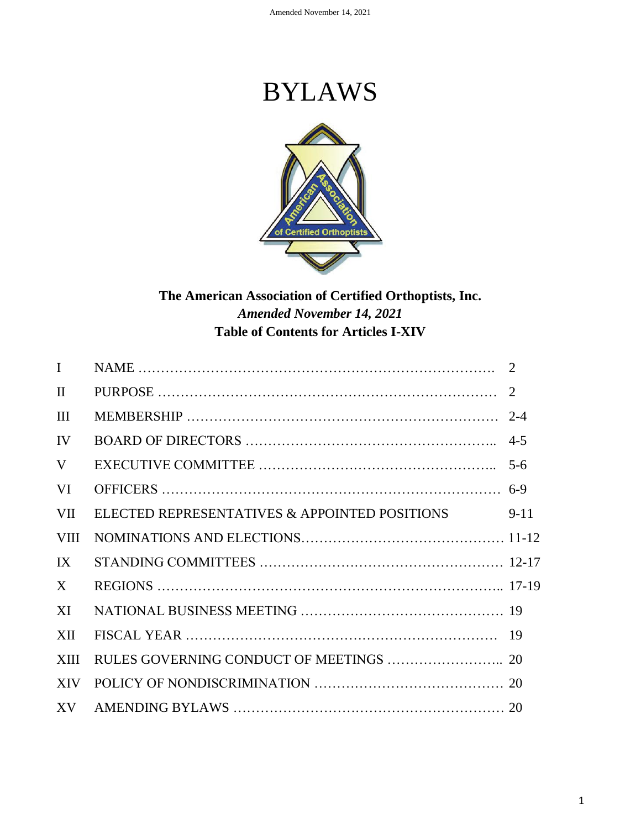# BYLAWS



# **The American Association of Certified Orthoptists, Inc.** *Amended November 14, 2021* **Table of Contents for Articles I-XIV**

| $\mathbf{I}$            |                                               |        |
|-------------------------|-----------------------------------------------|--------|
| $\mathbf{I}$            |                                               |        |
| III                     |                                               |        |
| IV                      |                                               |        |
| V                       |                                               |        |
| VI                      |                                               |        |
| <b>VII</b>              | ELECTED REPRESENTATIVES & APPOINTED POSITIONS | $9-11$ |
| <b>VIII</b>             |                                               |        |
| $\mathbf{I} \mathbf{X}$ |                                               |        |
| X                       |                                               |        |
| XI                      |                                               |        |
| XII                     |                                               |        |
| <b>XIII</b>             |                                               |        |
| <b>XIV</b>              |                                               |        |
|                         |                                               |        |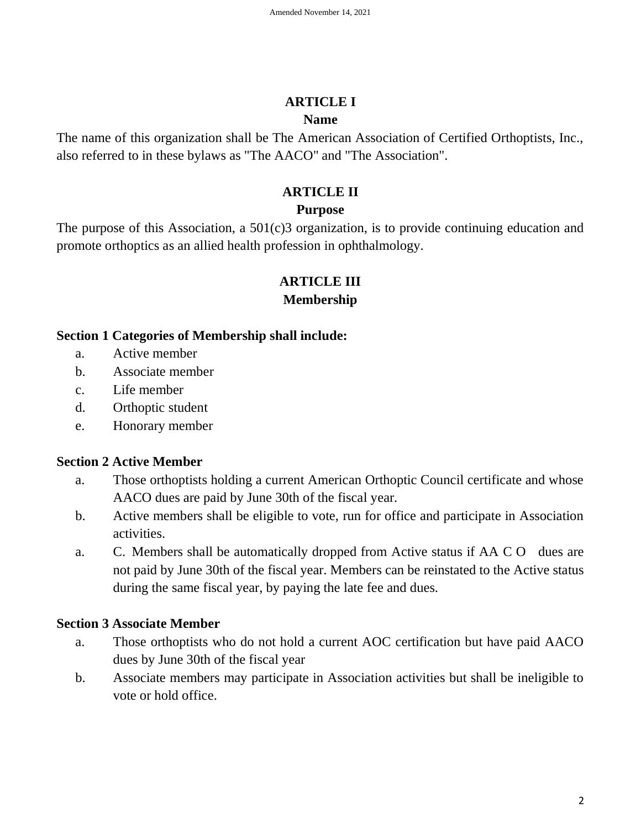#### **ARTICLE I**

#### **Name**

The name of this organization shall be The American Association of Certified Orthoptists, Inc., also referred to in these bylaws as "The AACO" and "The Association".

## **ARTICLE II**

# **Purpose**

The purpose of this Association, a 501(c)3 organization, is to provide continuing education and promote orthoptics as an allied health profession in ophthalmology.

# **ARTICLE III**

## **Membership**

#### **Section 1 Categories of Membership shall include:**

- a. Active member
- b. Associate member
- c. Life member
- d. Orthoptic student
- e. Honorary member

# **Section 2 Active Member**

- a. Those orthoptists holding a current American Orthoptic Council certificate and whose AACO dues are paid by June 30th of the fiscal year.
- b. Active members shall be eligible to vote, run for office and participate in Association activities.
- a. C. Members shall be automatically dropped from Active status if AA C O dues are not paid by June 30th of the fiscal year. Members can be reinstated to the Active status during the same fiscal year, by paying the late fee and dues.

# **Section 3 Associate Member**

- a. Those orthoptists who do not hold a current AOC certification but have paid AACO dues by June 30th of the fiscal year
- b. Associate members may participate in Association activities but shall be ineligible to vote or hold office.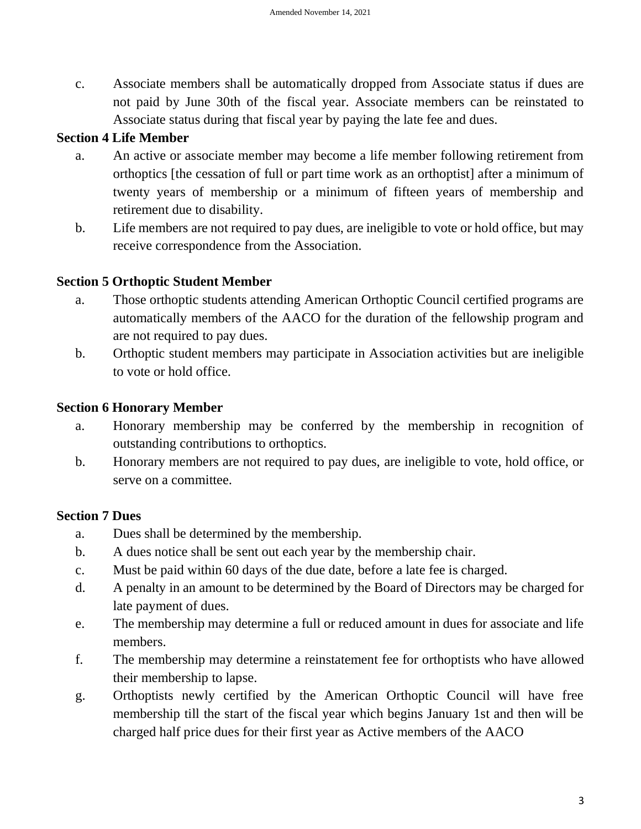c. Associate members shall be automatically dropped from Associate status if dues are not paid by June 30th of the fiscal year. Associate members can be reinstated to Associate status during that fiscal year by paying the late fee and dues.

#### **Section 4 Life Member**

- a. An active or associate member may become a life member following retirement from orthoptics [the cessation of full or part time work as an orthoptist] after a minimum of twenty years of membership or a minimum of fifteen years of membership and retirement due to disability.
- b. Life members are not required to pay dues, are ineligible to vote or hold office, but may receive correspondence from the Association.

# **Section 5 Orthoptic Student Member**

- a. Those orthoptic students attending American Orthoptic Council certified programs are automatically members of the AACO for the duration of the fellowship program and are not required to pay dues.
- b. Orthoptic student members may participate in Association activities but are ineligible to vote or hold office.

## **Section 6 Honorary Member**

- a. Honorary membership may be conferred by the membership in recognition of outstanding contributions to orthoptics.
- b. Honorary members are not required to pay dues, are ineligible to vote, hold office, or serve on a committee.

#### **Section 7 Dues**

- a. Dues shall be determined by the membership.
- b. A dues notice shall be sent out each year by the membership chair.
- c. Must be paid within 60 days of the due date, before a late fee is charged.
- d. A penalty in an amount to be determined by the Board of Directors may be charged for late payment of dues.
- e. The membership may determine a full or reduced amount in dues for associate and life members.
- f. The membership may determine a reinstatement fee for orthoptists who have allowed their membership to lapse.
- g. Orthoptists newly certified by the American Orthoptic Council will have free membership till the start of the fiscal year which begins January 1st and then will be charged half price dues for their first year as Active members of the AACO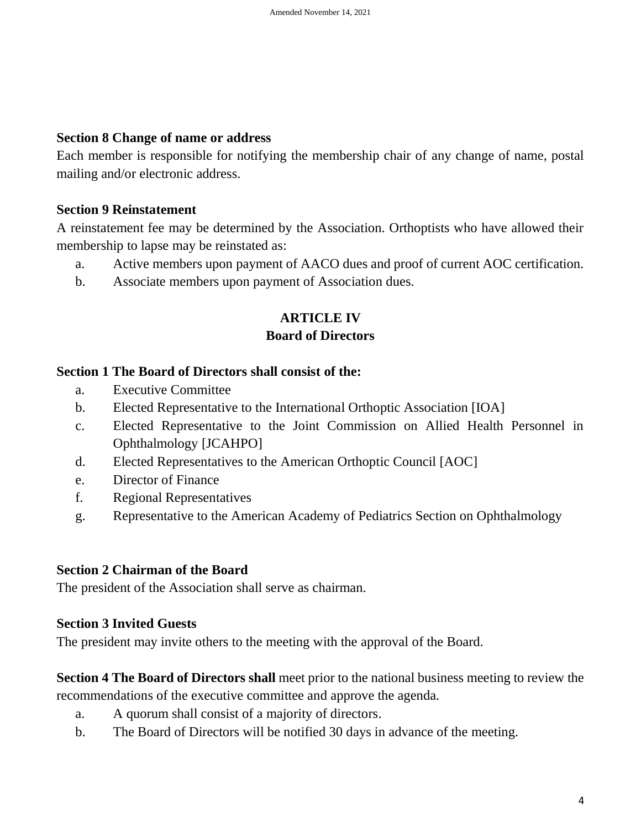#### **Section 8 Change of name or address**

Each member is responsible for notifying the membership chair of any change of name, postal mailing and/or electronic address.

#### **Section 9 Reinstatement**

A reinstatement fee may be determined by the Association. Orthoptists who have allowed their membership to lapse may be reinstated as:

- a. Active members upon payment of AACO dues and proof of current AOC certification.
- b. Associate members upon payment of Association dues.

# **ARTICLE IV**

#### **Board of Directors**

#### **Section 1 The Board of Directors shall consist of the:**

- a. Executive Committee
- b. Elected Representative to the International Orthoptic Association [IOA]
- c. Elected Representative to the Joint Commission on Allied Health Personnel in Ophthalmology [JCAHPO]
- d. Elected Representatives to the American Orthoptic Council [AOC]
- e. Director of Finance
- f. Regional Representatives
- g. Representative to the American Academy of Pediatrics Section on Ophthalmology

#### **Section 2 Chairman of the Board**

The president of the Association shall serve as chairman.

#### **Section 3 Invited Guests**

The president may invite others to the meeting with the approval of the Board.

**Section 4 The Board of Directors shall** meet prior to the national business meeting to review the recommendations of the executive committee and approve the agenda.

- a. A quorum shall consist of a majority of directors.
- b. The Board of Directors will be notified 30 days in advance of the meeting.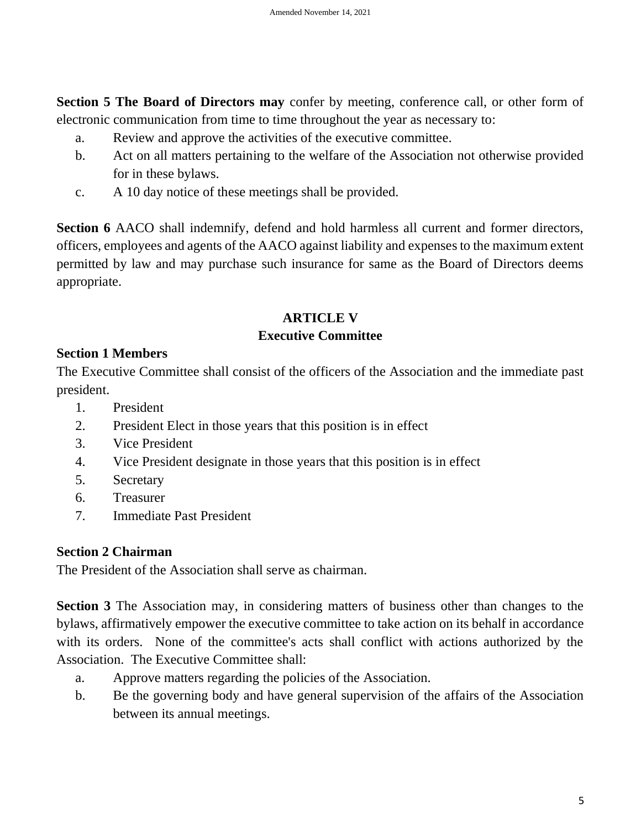**Section 5 The Board of Directors may** confer by meeting, conference call, or other form of electronic communication from time to time throughout the year as necessary to:

- a. Review and approve the activities of the executive committee.
- b. Act on all matters pertaining to the welfare of the Association not otherwise provided for in these bylaws.
- c. A 10 day notice of these meetings shall be provided.

**Section 6** AACO shall indemnify, defend and hold harmless all current and former directors, officers, employees and agents of the AACO against liability and expenses to the maximum extent permitted by law and may purchase such insurance for same as the Board of Directors deems appropriate.

# **ARTICLE V**

#### **Executive Committee**

#### **Section 1 Members**

The Executive Committee shall consist of the officers of the Association and the immediate past president.

- 1. President
- 2. President Elect in those years that this position is in effect
- 3. Vice President
- 4. Vice President designate in those years that this position is in effect
- 5. Secretary
- 6. Treasurer
- 7. Immediate Past President

#### **Section 2 Chairman**

The President of the Association shall serve as chairman.

**Section 3** The Association may, in considering matters of business other than changes to the bylaws, affirmatively empower the executive committee to take action on its behalf in accordance with its orders. None of the committee's acts shall conflict with actions authorized by the Association. The Executive Committee shall:

- a. Approve matters regarding the policies of the Association.
- b. Be the governing body and have general supervision of the affairs of the Association between its annual meetings.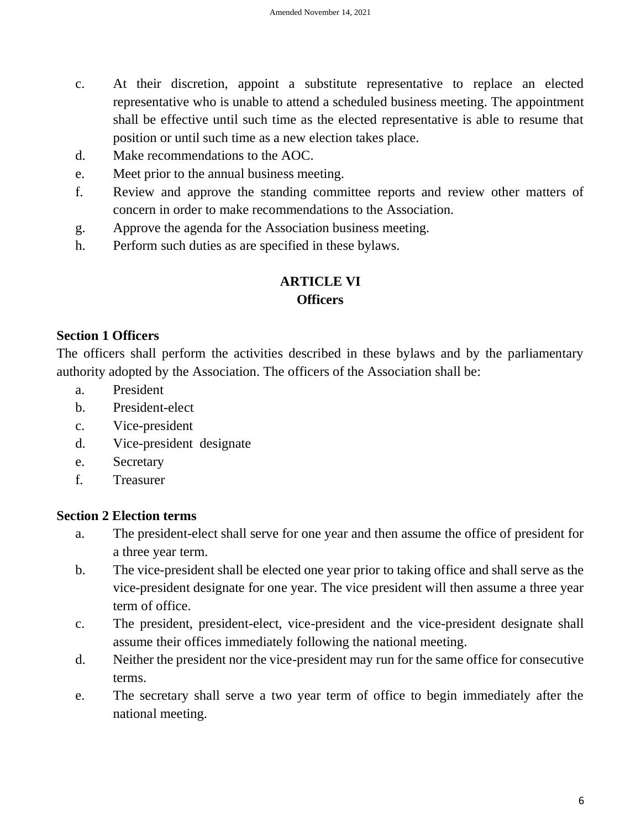- c. At their discretion, appoint a substitute representative to replace an elected representative who is unable to attend a scheduled business meeting. The appointment shall be effective until such time as the elected representative is able to resume that position or until such time as a new election takes place.
- d. Make recommendations to the AOC.
- e. Meet prior to the annual business meeting.
- f. Review and approve the standing committee reports and review other matters of concern in order to make recommendations to the Association.
- g. Approve the agenda for the Association business meeting.
- h. Perform such duties as are specified in these bylaws.

## **ARTICLE VI Officers**

#### **Section 1 Officers**

The officers shall perform the activities described in these bylaws and by the parliamentary authority adopted by the Association. The officers of the Association shall be:

- a. President
- b. President-elect
- c. Vice-president
- d. Vice-president designate
- e. Secretary
- f. Treasurer

#### **Section 2 Election terms**

- a. The president-elect shall serve for one year and then assume the office of president for a three year term.
- b. The vice-president shall be elected one year prior to taking office and shall serve as the vice-president designate for one year. The vice president will then assume a three year term of office.
- c. The president, president-elect, vice-president and the vice-president designate shall assume their offices immediately following the national meeting.
- d. Neither the president nor the vice-president may run for the same office for consecutive terms.
- e. The secretary shall serve a two year term of office to begin immediately after the national meeting.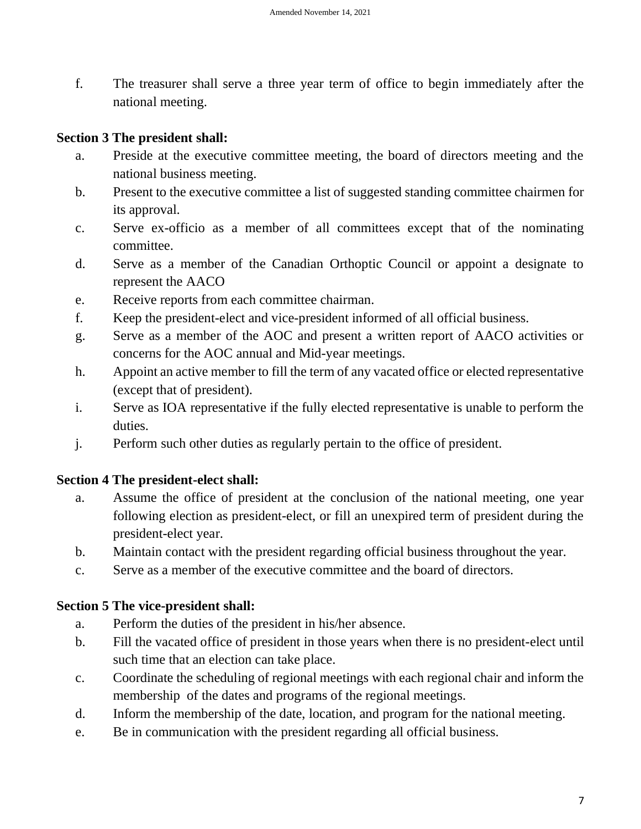f. The treasurer shall serve a three year term of office to begin immediately after the national meeting.

#### **Section 3 The president shall:**

- a. Preside at the executive committee meeting, the board of directors meeting and the national business meeting.
- b. Present to the executive committee a list of suggested standing committee chairmen for its approval.
- c. Serve ex-officio as a member of all committees except that of the nominating committee.
- d. Serve as a member of the Canadian Orthoptic Council or appoint a designate to represent the AACO
- e. Receive reports from each committee chairman.
- f. Keep the president-elect and vice-president informed of all official business.
- g. Serve as a member of the AOC and present a written report of AACO activities or concerns for the AOC annual and Mid-year meetings.
- h. Appoint an active member to fill the term of any vacated office or elected representative (except that of president).
- i. Serve as IOA representative if the fully elected representative is unable to perform the duties.
- j. Perform such other duties as regularly pertain to the office of president.

#### **Section 4 The president-elect shall:**

- a. Assume the office of president at the conclusion of the national meeting, one year following election as president-elect, or fill an unexpired term of president during the president-elect year.
- b. Maintain contact with the president regarding official business throughout the year.
- c. Serve as a member of the executive committee and the board of directors.

#### **Section 5 The vice-president shall:**

- a. Perform the duties of the president in his/her absence.
- b. Fill the vacated office of president in those years when there is no president-elect until such time that an election can take place.
- c. Coordinate the scheduling of regional meetings with each regional chair and inform the membership of the dates and programs of the regional meetings.
- d. Inform the membership of the date, location, and program for the national meeting.
- e. Be in communication with the president regarding all official business.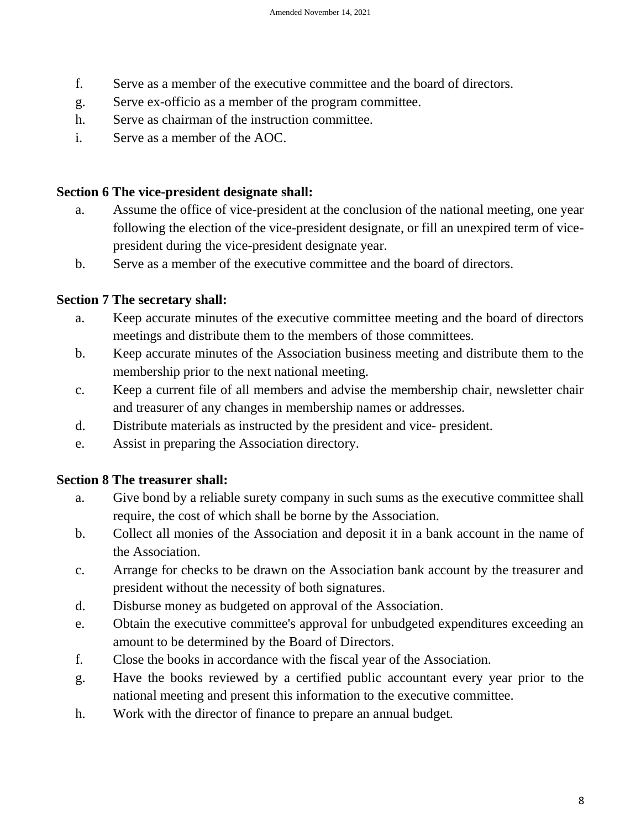- f. Serve as a member of the executive committee and the board of directors.
- g. Serve ex-officio as a member of the program committee.
- h. Serve as chairman of the instruction committee.
- i. Serve as a member of the AOC.

#### **Section 6 The vice-president designate shall:**

- a. Assume the office of vice-president at the conclusion of the national meeting, one year following the election of the vice-president designate, or fill an unexpired term of vicepresident during the vice-president designate year.
- b. Serve as a member of the executive committee and the board of directors.

#### **Section 7 The secretary shall:**

- a. Keep accurate minutes of the executive committee meeting and the board of directors meetings and distribute them to the members of those committees.
- b. Keep accurate minutes of the Association business meeting and distribute them to the membership prior to the next national meeting.
- c. Keep a current file of all members and advise the membership chair, newsletter chair and treasurer of any changes in membership names or addresses.
- d. Distribute materials as instructed by the president and vice- president.
- e. Assist in preparing the Association directory.

#### **Section 8 The treasurer shall:**

- a. Give bond by a reliable surety company in such sums as the executive committee shall require, the cost of which shall be borne by the Association.
- b. Collect all monies of the Association and deposit it in a bank account in the name of the Association.
- c. Arrange for checks to be drawn on the Association bank account by the treasurer and president without the necessity of both signatures.
- d. Disburse money as budgeted on approval of the Association.
- e. Obtain the executive committee's approval for unbudgeted expenditures exceeding an amount to be determined by the Board of Directors.
- f. Close the books in accordance with the fiscal year of the Association.
- g. Have the books reviewed by a certified public accountant every year prior to the national meeting and present this information to the executive committee.
- h. Work with the director of finance to prepare an annual budget.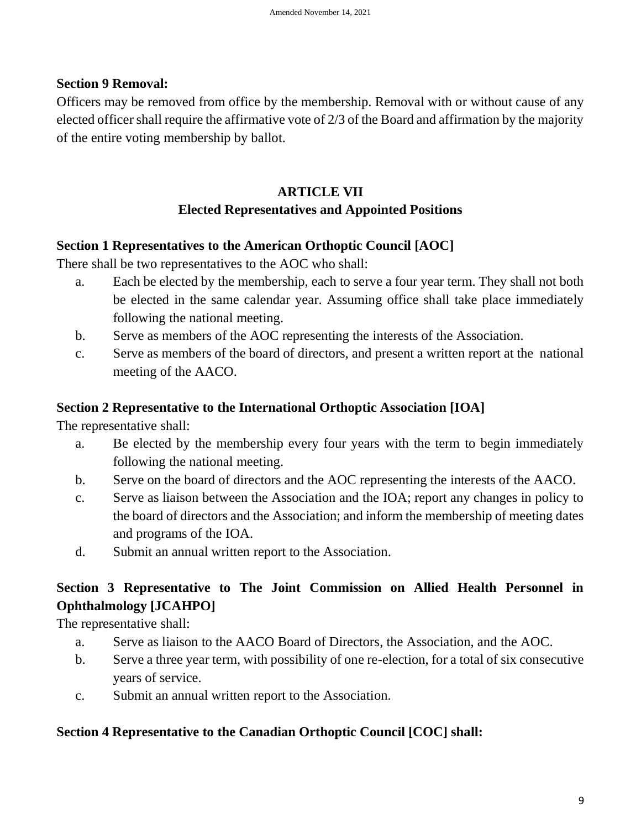#### **Section 9 Removal:**

Officers may be removed from office by the membership. Removal with or without cause of any elected officer shall require the affirmative vote of 2/3 of the Board and affirmation by the majority of the entire voting membership by ballot.

# **ARTICLE VII Elected Representatives and Appointed Positions**

#### **Section 1 Representatives to the American Orthoptic Council [AOC]**

There shall be two representatives to the AOC who shall:

- a. Each be elected by the membership, each to serve a four year term. They shall not both be elected in the same calendar year. Assuming office shall take place immediately following the national meeting.
- b. Serve as members of the AOC representing the interests of the Association.
- c. Serve as members of the board of directors, and present a written report at the national meeting of the AACO.

#### **Section 2 Representative to the International Orthoptic Association [IOA]**

The representative shall:

- a. Be elected by the membership every four years with the term to begin immediately following the national meeting.
- b. Serve on the board of directors and the AOC representing the interests of the AACO.
- c. Serve as liaison between the Association and the IOA; report any changes in policy to the board of directors and the Association; and inform the membership of meeting dates and programs of the IOA.
- d. Submit an annual written report to the Association.

# **Section 3 Representative to The Joint Commission on Allied Health Personnel in Ophthalmology [JCAHPO]**

The representative shall:

- a. Serve as liaison to the AACO Board of Directors, the Association, and the AOC.
- b. Serve a three year term, with possibility of one re-election, for a total of six consecutive years of service.
- c. Submit an annual written report to the Association.

#### **Section 4 Representative to the Canadian Orthoptic Council [COC] shall:**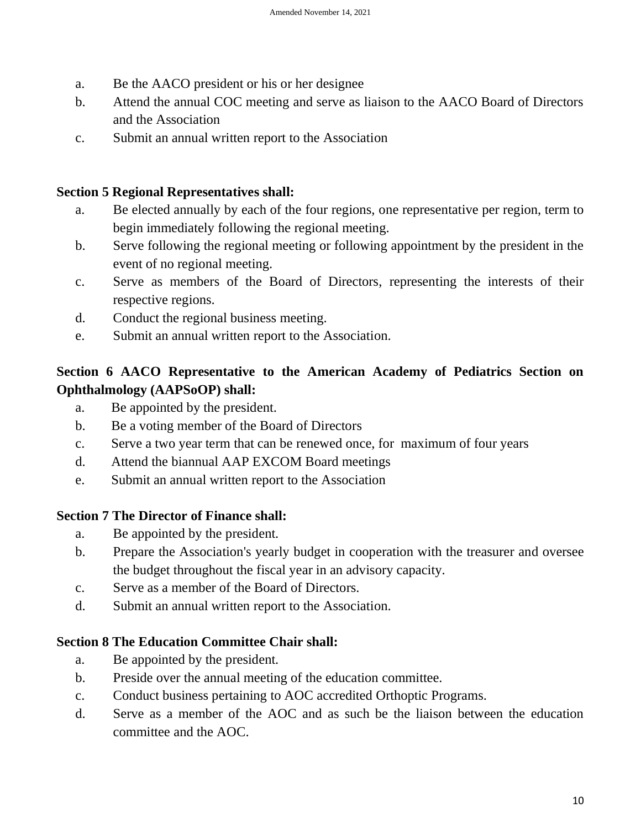- a. Be the AACO president or his or her designee
- b. Attend the annual COC meeting and serve as liaison to the AACO Board of Directors and the Association
- c. Submit an annual written report to the Association

#### **Section 5 Regional Representatives shall:**

- a. Be elected annually by each of the four regions, one representative per region, term to begin immediately following the regional meeting.
- b. Serve following the regional meeting or following appointment by the president in the event of no regional meeting.
- c. Serve as members of the Board of Directors, representing the interests of their respective regions.
- d. Conduct the regional business meeting.
- e. Submit an annual written report to the Association.

# **Section 6 AACO Representative to the American Academy of Pediatrics Section on Ophthalmology (AAPSoOP) shall:**

- a. Be appointed by the president.
- b. Be a voting member of the Board of Directors
- c. Serve a two year term that can be renewed once, for maximum of four years
- d. Attend the biannual AAP EXCOM Board meetings
- e. Submit an annual written report to the Association

#### **Section 7 The Director of Finance shall:**

- a. Be appointed by the president.
- b. Prepare the Association's yearly budget in cooperation with the treasurer and oversee the budget throughout the fiscal year in an advisory capacity.
- c. Serve as a member of the Board of Directors.
- d. Submit an annual written report to the Association.

#### **Section 8 The Education Committee Chair shall:**

- a. Be appointed by the president.
- b. Preside over the annual meeting of the education committee.
- c. Conduct business pertaining to AOC accredited Orthoptic Programs.
- d. Serve as a member of the AOC and as such be the liaison between the education committee and the AOC.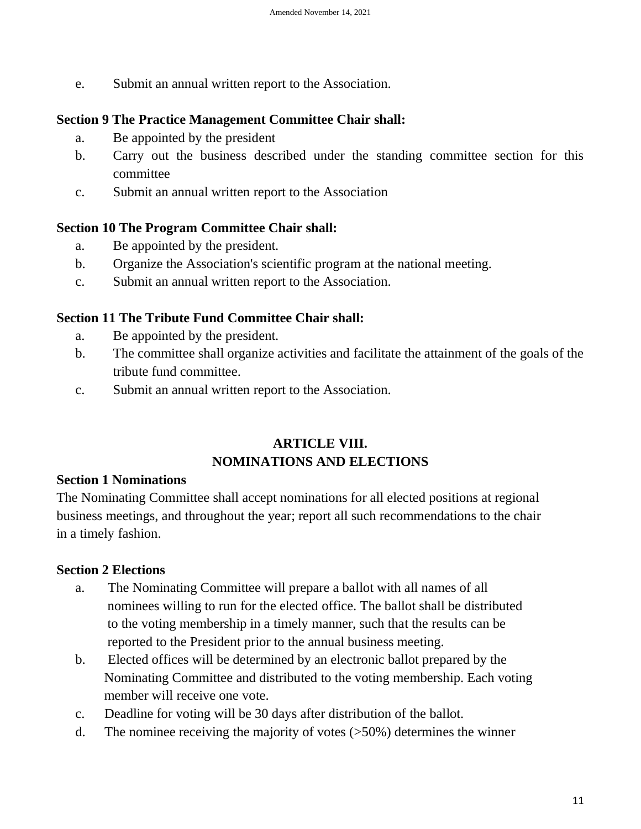e. Submit an annual written report to the Association.

#### **Section 9 The Practice Management Committee Chair shall:**

- a. Be appointed by the president
- b. Carry out the business described under the standing committee section for this committee
- c. Submit an annual written report to the Association

#### **Section 10 The Program Committee Chair shall:**

- a. Be appointed by the president.
- b. Organize the Association's scientific program at the national meeting.
- c. Submit an annual written report to the Association.

#### **Section 11 The Tribute Fund Committee Chair shall:**

- a. Be appointed by the president.
- b. The committee shall organize activities and facilitate the attainment of the goals of the tribute fund committee.
- c. Submit an annual written report to the Association.

# **ARTICLE VIII. NOMINATIONS AND ELECTIONS**

#### **Section 1 Nominations**

The Nominating Committee shall accept nominations for all elected positions at regional business meetings, and throughout the year; report all such recommendations to the chair in a timely fashion.

#### **Section 2 Elections**

- a. The Nominating Committee will prepare a ballot with all names of all nominees willing to run for the elected office. The ballot shall be distributed to the voting membership in a timely manner, such that the results can be reported to the President prior to the annual business meeting.
- b. Elected offices will be determined by an electronic ballot prepared by the Nominating Committee and distributed to the voting membership. Each voting member will receive one vote.
- c. Deadline for voting will be 30 days after distribution of the ballot.
- d. The nominee receiving the majority of votes (>50%) determines the winner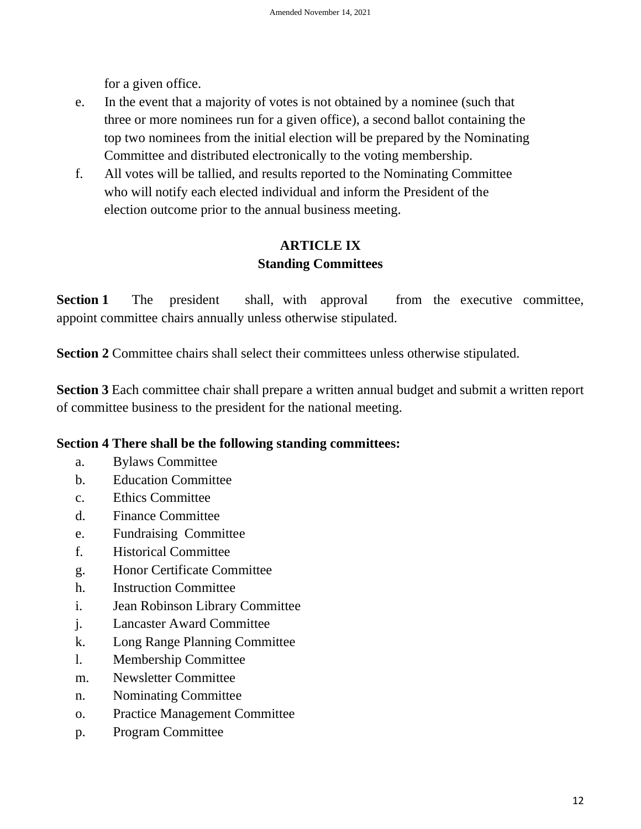for a given office.

- e. In the event that a majority of votes is not obtained by a nominee (such that three or more nominees run for a given office), a second ballot containing the top two nominees from the initial election will be prepared by the Nominating Committee and distributed electronically to the voting membership.
- f. All votes will be tallied, and results reported to the Nominating Committee who will notify each elected individual and inform the President of the election outcome prior to the annual business meeting.

# **ARTICLE IX Standing Committees**

**Section 1** The president shall, with approval from the executive committee, appoint committee chairs annually unless otherwise stipulated.

**Section 2** Committee chairs shall select their committees unless otherwise stipulated.

**Section 3** Each committee chair shall prepare a written annual budget and submit a written report of committee business to the president for the national meeting.

#### **Section 4 There shall be the following standing committees:**

- a. Bylaws Committee
- b. Education Committee
- c. Ethics Committee
- d. Finance Committee
- e. Fundraising Committee
- f. Historical Committee
- g. Honor Certificate Committee
- h. Instruction Committee
- i. Jean Robinson Library Committee
- j. Lancaster Award Committee
- k. Long Range Planning Committee
- l. Membership Committee
- m. Newsletter Committee
- n. Nominating Committee
- o. Practice Management Committee
- p. Program Committee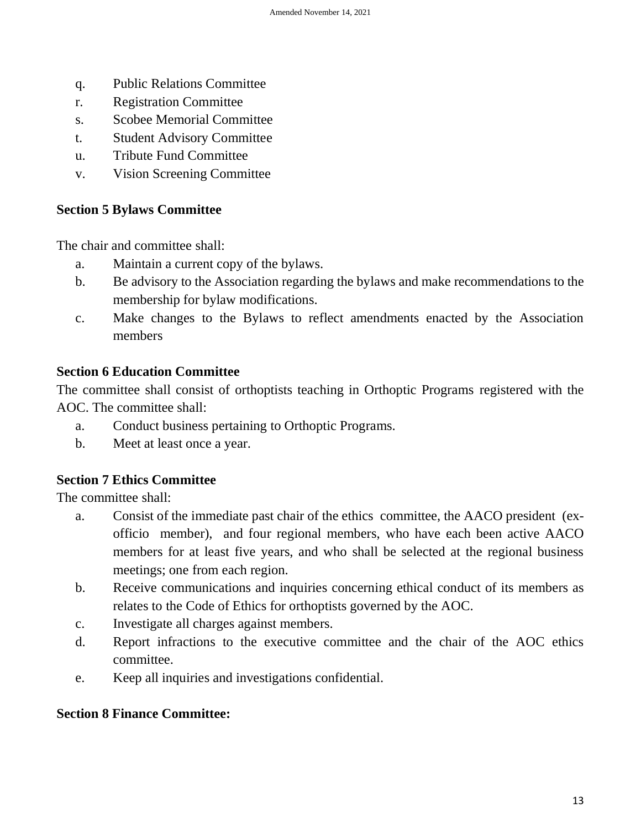- q. Public Relations Committee
- r. Registration Committee
- s. Scobee Memorial Committee
- t. Student Advisory Committee
- u. Tribute Fund Committee
- v. Vision Screening Committee

#### **Section 5 Bylaws Committee**

The chair and committee shall:

- a. Maintain a current copy of the bylaws.
- b. Be advisory to the Association regarding the bylaws and make recommendations to the membership for bylaw modifications.
- c. Make changes to the Bylaws to reflect amendments enacted by the Association members

## **Section 6 Education Committee**

The committee shall consist of orthoptists teaching in Orthoptic Programs registered with the AOC. The committee shall:

- a. Conduct business pertaining to Orthoptic Programs.
- b. Meet at least once a year.

# **Section 7 Ethics Committee**

The committee shall:

- a. Consist of the immediate past chair of the ethics committee, the AACO president (exofficio member), and four regional members, who have each been active AACO members for at least five years, and who shall be selected at the regional business meetings; one from each region.
- b. Receive communications and inquiries concerning ethical conduct of its members as relates to the Code of Ethics for orthoptists governed by the AOC.
- c. Investigate all charges against members.
- d. Report infractions to the executive committee and the chair of the AOC ethics committee.
- e. Keep all inquiries and investigations confidential.

#### **Section 8 Finance Committee:**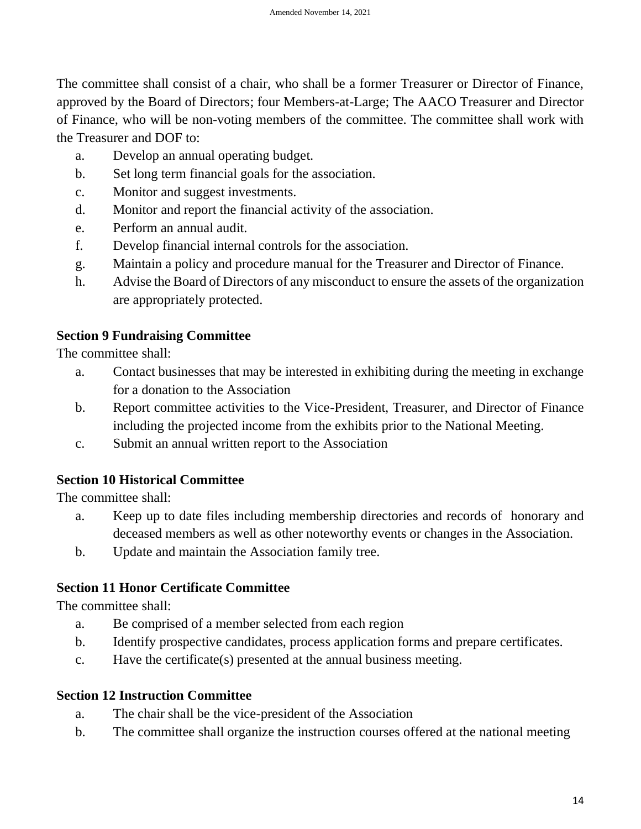The committee shall consist of a chair, who shall be a former Treasurer or Director of Finance, approved by the Board of Directors; four Members-at-Large; The AACO Treasurer and Director of Finance, who will be non-voting members of the committee. The committee shall work with the Treasurer and DOF to:

- a. Develop an annual operating budget.
- b. Set long term financial goals for the association.
- c. Monitor and suggest investments.
- d. Monitor and report the financial activity of the association.
- e. Perform an annual audit.
- f. Develop financial internal controls for the association.
- g. Maintain a policy and procedure manual for the Treasurer and Director of Finance.
- h. Advise the Board of Directors of any misconduct to ensure the assets of the organization are appropriately protected.

# **Section 9 Fundraising Committee**

The committee shall:

- a. Contact businesses that may be interested in exhibiting during the meeting in exchange for a donation to the Association
- b. Report committee activities to the Vice-President, Treasurer, and Director of Finance including the projected income from the exhibits prior to the National Meeting.
- c. Submit an annual written report to the Association

# **Section 10 Historical Committee**

The committee shall:

- a. Keep up to date files including membership directories and records of honorary and deceased members as well as other noteworthy events or changes in the Association.
- b. Update and maintain the Association family tree.

# **Section 11 Honor Certificate Committee**

The committee shall:

- a. Be comprised of a member selected from each region
- b. Identify prospective candidates, process application forms and prepare certificates.
- c. Have the certificate(s) presented at the annual business meeting.

# **Section 12 Instruction Committee**

- a. The chair shall be the vice-president of the Association
- b. The committee shall organize the instruction courses offered at the national meeting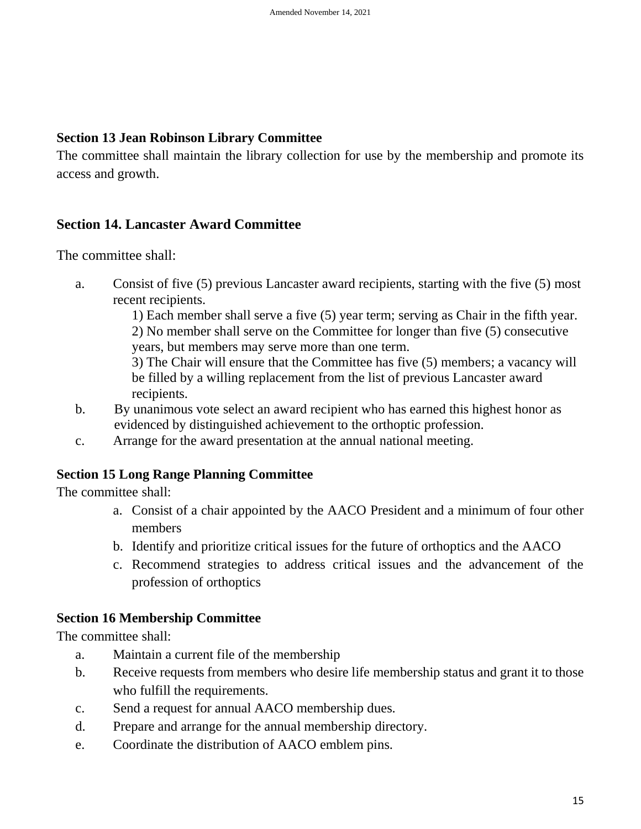#### **Section 13 Jean Robinson Library Committee**

The committee shall maintain the library collection for use by the membership and promote its access and growth.

# **Section 14. Lancaster Award Committee**

The committee shall:

a. Consist of five (5) previous Lancaster award recipients, starting with the five (5) most recent recipients.

> 1) Each member shall serve a five (5) year term; serving as Chair in the fifth year. 2) No member shall serve on the Committee for longer than five (5) consecutive years, but members may serve more than one term.

> 3) The Chair will ensure that the Committee has five (5) members; a vacancy will be filled by a willing replacement from the list of previous Lancaster award recipients.

- b. By unanimous vote select an award recipient who has earned this highest honor as evidenced by distinguished achievement to the orthoptic profession.
- c. Arrange for the award presentation at the annual national meeting.

# **Section 15 Long Range Planning Committee**

The committee shall:

- a. Consist of a chair appointed by the AACO President and a minimum of four other members
- b. Identify and prioritize critical issues for the future of orthoptics and the AACO
- c. Recommend strategies to address critical issues and the advancement of the profession of orthoptics

# **Section 16 Membership Committee**

The committee shall:

- a. Maintain a current file of the membership
- b. Receive requests from members who desire life membership status and grant it to those who fulfill the requirements.
- c. Send a request for annual AACO membership dues.
- d. Prepare and arrange for the annual membership directory.
- e. Coordinate the distribution of AACO emblem pins.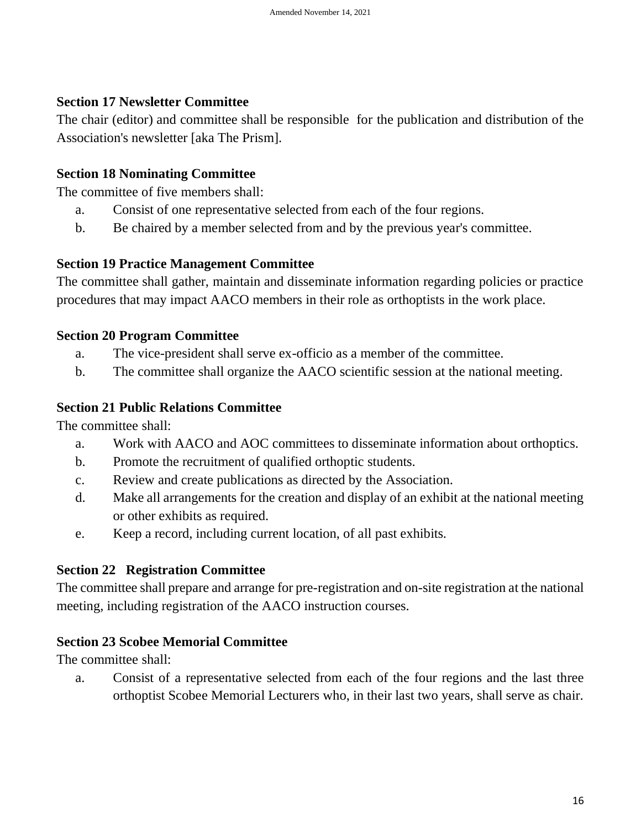#### **Section 17 Newsletter Committee**

The chair (editor) and committee shall be responsible for the publication and distribution of the Association's newsletter [aka The Prism].

#### **Section 18 Nominating Committee**

The committee of five members shall:

- a. Consist of one representative selected from each of the four regions.
- b. Be chaired by a member selected from and by the previous year's committee.

#### **Section 19 Practice Management Committee**

The committee shall gather, maintain and disseminate information regarding policies or practice procedures that may impact AACO members in their role as orthoptists in the work place.

#### **Section 20 Program Committee**

- a. The vice-president shall serve ex-officio as a member of the committee.
- b. The committee shall organize the AACO scientific session at the national meeting.

#### **Section 21 Public Relations Committee**

The committee shall:

- a. Work with AACO and AOC committees to disseminate information about orthoptics.
- b. Promote the recruitment of qualified orthoptic students.
- c. Review and create publications as directed by the Association.
- d. Make all arrangements for the creation and display of an exhibit at the national meeting or other exhibits as required.
- e. Keep a record, including current location, of all past exhibits.

#### **Section 22 Registration Committee**

The committee shall prepare and arrange for pre-registration and on-site registration at the national meeting, including registration of the AACO instruction courses.

#### **Section 23 Scobee Memorial Committee**

The committee shall:

a. Consist of a representative selected from each of the four regions and the last three orthoptist Scobee Memorial Lecturers who, in their last two years, shall serve as chair.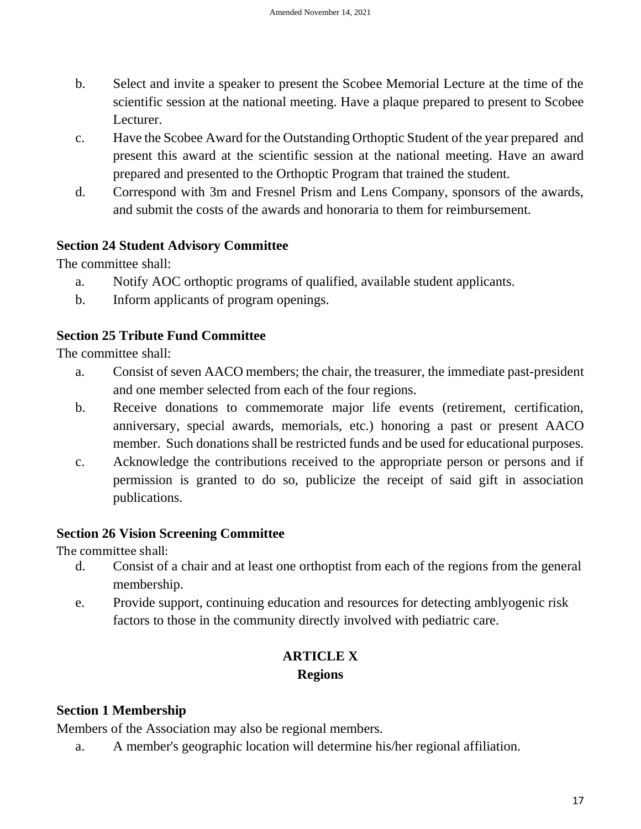- b. Select and invite a speaker to present the Scobee Memorial Lecture at the time of the scientific session at the national meeting. Have a plaque prepared to present to Scobee Lecturer.
- c. Have the Scobee Award for the Outstanding Orthoptic Student of the year prepared and present this award at the scientific session at the national meeting. Have an award prepared and presented to the Orthoptic Program that trained the student.
- d. Correspond with 3m and Fresnel Prism and Lens Company, sponsors of the awards, and submit the costs of the awards and honoraria to them for reimbursement.

# **Section 24 Student Advisory Committee**

The committee shall:

- a. Notify AOC orthoptic programs of qualified, available student applicants.
- b. Inform applicants of program openings.

## **Section 25 Tribute Fund Committee**

The committee shall:

- a. Consist of seven AACO members; the chair, the treasurer, the immediate past-president and one member selected from each of the four regions.
- b. Receive donations to commemorate major life events (retirement, certification, anniversary, special awards, memorials, etc.) honoring a past or present AACO member. Such donations shall be restricted funds and be used for educational purposes.
- c. Acknowledge the contributions received to the appropriate person or persons and if permission is granted to do so, publicize the receipt of said gift in association publications.

#### **Section 26 Vision Screening Committee**

The committee shall:

- d. Consist of a chair and at least one orthoptist from each of the regions from the general membership.
- e. Provide support, continuing education and resources for detecting amblyogenic risk factors to those in the community directly involved with pediatric care.

# **ARTICLE X Regions**

# **Section 1 Membership**

Members of the Association may also be regional members.

a. A member's geographic location will determine his/her regional affiliation.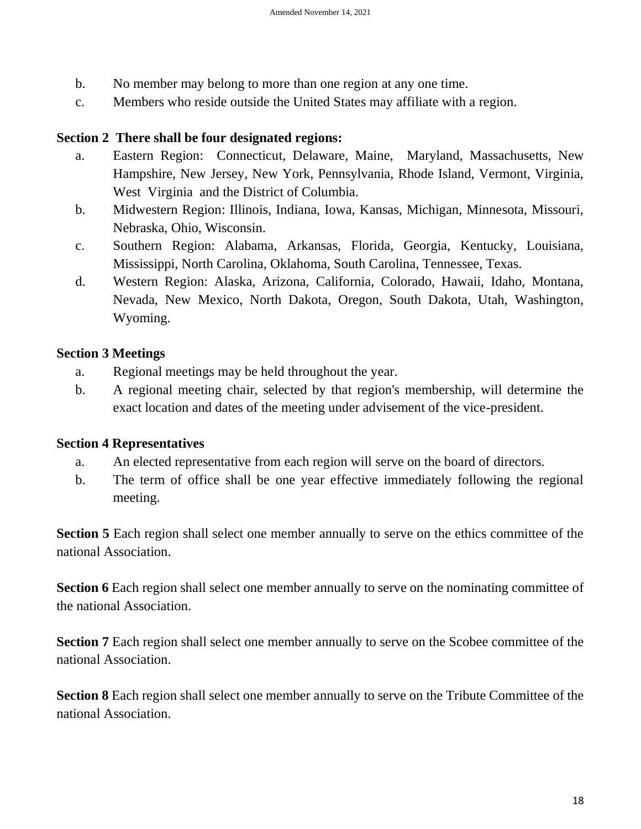- b. No member may belong to more than one region at any one time.
- c. Members who reside outside the United States may affiliate with a region.

#### **Section 2 There shall be four designated regions:**

- a. Eastern Region: Connecticut, Delaware, Maine, Maryland, Massachusetts, New Hampshire, New Jersey, New York, Pennsylvania, Rhode Island, Vermont, Virginia, West Virginia and the District of Columbia.
- b. Midwestern Region: Illinois, Indiana, Iowa, Kansas, Michigan, Minnesota, Missouri, Nebraska, Ohio, Wisconsin.
- c. Southern Region: Alabama, Arkansas, Florida, Georgia, Kentucky, Louisiana, Mississippi, North Carolina, Oklahoma, South Carolina, Tennessee, Texas.
- d. Western Region: Alaska, Arizona, California, Colorado, Hawaii, Idaho, Montana, Nevada, New Mexico, North Dakota, Oregon, South Dakota, Utah, Washington, Wyoming.

#### **Section 3 Meetings**

- a. Regional meetings may be held throughout the year.
- b. A regional meeting chair, selected by that region's membership, will determine the exact location and dates of the meeting under advisement of the vice-president.

#### **Section 4 Representatives**

- a. An elected representative from each region will serve on the board of directors.
- b. The term of office shall be one year effective immediately following the regional meeting.

**Section 5** Each region shall select one member annually to serve on the ethics committee of the national Association.

**Section 6** Each region shall select one member annually to serve on the nominating committee of the national Association.

**Section 7** Each region shall select one member annually to serve on the Scobee committee of the national Association.

**Section 8** Each region shall select one member annually to serve on the Tribute Committee of the national Association.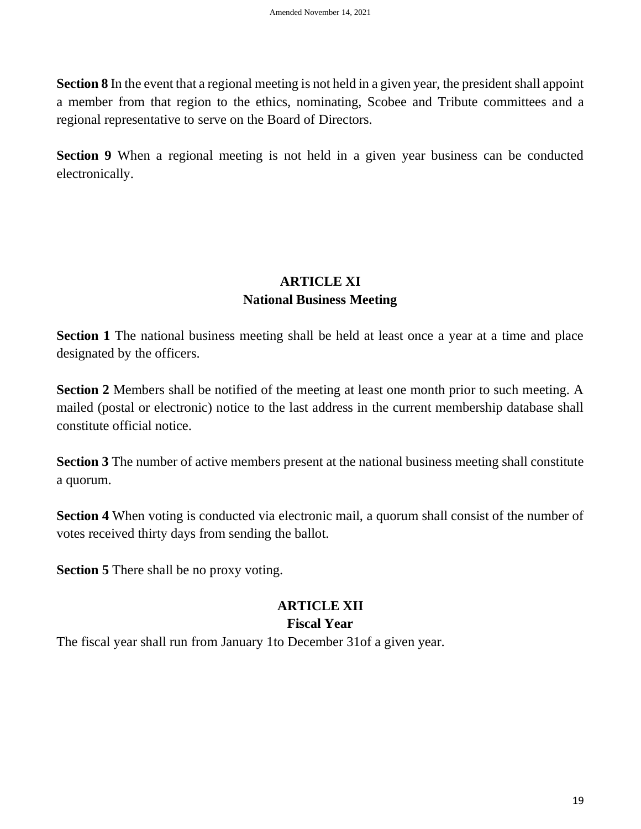**Section 8** In the event that a regional meeting is not held in a given year, the president shall appoint a member from that region to the ethics, nominating, Scobee and Tribute committees and a regional representative to serve on the Board of Directors.

**Section 9** When a regional meeting is not held in a given year business can be conducted electronically.

# **ARTICLE XI National Business Meeting**

**Section 1** The national business meeting shall be held at least once a year at a time and place designated by the officers.

**Section 2** Members shall be notified of the meeting at least one month prior to such meeting. A mailed (postal or electronic) notice to the last address in the current membership database shall constitute official notice.

**Section 3** The number of active members present at the national business meeting shall constitute a quorum.

**Section 4** When voting is conducted via electronic mail, a quorum shall consist of the number of votes received thirty days from sending the ballot.

**Section 5** There shall be no proxy voting.

# **ARTICLE XII**

#### **Fiscal Year**

The fiscal year shall run from January 1to December 31of a given year.